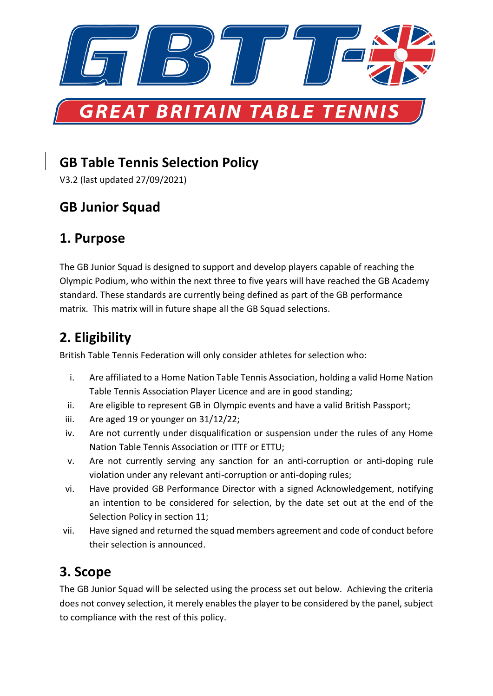

# **GB Table Tennis Selection Policy**

V3.2 (last updated 27/09/2021)

# **GB Junior Squad**

### **1. Purpose**

The GB Junior Squad is designed to support and develop players capable of reaching the Olympic Podium, who within the next three to five years will have reached the GB Academy standard. These standards are currently being defined as part of the GB performance matrix. This matrix will in future shape all the GB Squad selections.

# **2. Eligibility**

British Table Tennis Federation will only consider athletes for selection who:

- i. Are affiliated to a Home Nation Table Tennis Association, holding a valid Home Nation Table Tennis Association Player Licence and are in good standing;
- ii. Are eligible to represent GB in Olympic events and have a valid British Passport;
- iii. Are aged 19 or younger on 31/12/22;
- iv. Are not currently under disqualification or suspension under the rules of any Home Nation Table Tennis Association or ITTF or ETTU;
- v. Are not currently serving any sanction for an anti-corruption or anti-doping rule violation under any relevant anti-corruption or anti-doping rules;
- vi. Have provided GB Performance Director with a signed Acknowledgement, notifying an intention to be considered for selection, by the date set out at the end of the Selection Policy in section 11;
- vii. Have signed and returned the squad members agreement and code of conduct before their selection is announced.

## **3. Scope**

The GB Junior Squad will be selected using the process set out below. Achieving the criteria does not convey selection, it merely enables the player to be considered by the panel, subject to compliance with the rest of this policy.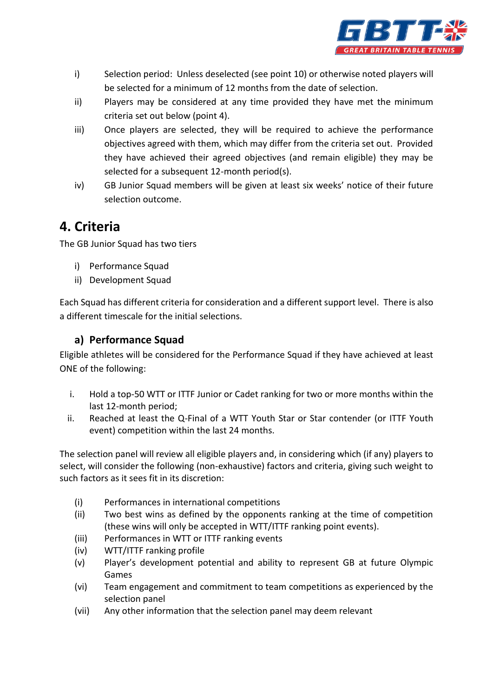

- i) Selection period: Unless deselected (see point 10) or otherwise noted players will be selected for a minimum of 12 months from the date of selection.
- ii) Players may be considered at any time provided they have met the minimum criteria set out below (point 4).
- iii) Once players are selected, they will be required to achieve the performance objectives agreed with them, which may differ from the criteria set out. Provided they have achieved their agreed objectives (and remain eligible) they may be selected for a subsequent 12-month period(s).
- iv) GB Junior Squad members will be given at least six weeks' notice of their future selection outcome.

#### **4. Criteria**

The GB Junior Squad has two tiers

- i) Performance Squad
- ii) Development Squad

Each Squad has different criteria for consideration and a different support level. There is also a different timescale for the initial selections.

#### **a) Performance Squad**

Eligible athletes will be considered for the Performance Squad if they have achieved at least ONE of the following:

- i. Hold a top-50 WTT or ITTF Junior or Cadet ranking for two or more months within the last 12-month period;
- ii. Reached at least the Q-Final of a WTT Youth Star or Star contender (or ITTF Youth event) competition within the last 24 months.

The selection panel will review all eligible players and, in considering which (if any) players to select, will consider the following (non-exhaustive) factors and criteria, giving such weight to such factors as it sees fit in its discretion:

- (i) Performances in international competitions
- (ii) Two best wins as defined by the opponents ranking at the time of competition (these wins will only be accepted in WTT/ITTF ranking point events).
- (iii) Performances in WTT or ITTF ranking events
- (iv) WTT/ITTF ranking profile
- (v) Player's development potential and ability to represent GB at future Olympic Games
- (vi) Team engagement and commitment to team competitions as experienced by the selection panel
- (vii) Any other information that the selection panel may deem relevant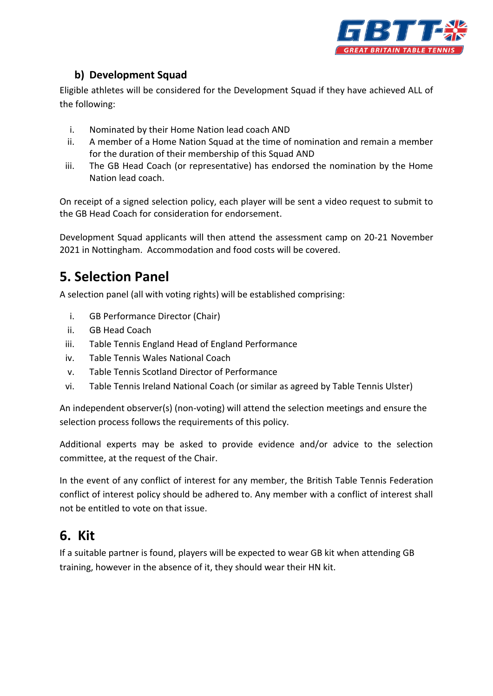

#### **b) Development Squad**

Eligible athletes will be considered for the Development Squad if they have achieved ALL of the following:

- i. Nominated by their Home Nation lead coach AND
- ii. A member of a Home Nation Squad at the time of nomination and remain a member for the duration of their membership of this Squad AND
- iii. The GB Head Coach (or representative) has endorsed the nomination by the Home Nation lead coach.

On receipt of a signed selection policy, each player will be sent a video request to submit to the GB Head Coach for consideration for endorsement.

Development Squad applicants will then attend the assessment camp on 20-21 November 2021 in Nottingham. Accommodation and food costs will be covered.

# **5. Selection Panel**

A selection panel (all with voting rights) will be established comprising:

- i. GB Performance Director (Chair)
- ii. GB Head Coach
- iii. Table Tennis England Head of England Performance
- iv. Table Tennis Wales National Coach
- v. Table Tennis Scotland Director of Performance
- vi. Table Tennis Ireland National Coach (or similar as agreed by Table Tennis Ulster)

An independent observer(s) (non-voting) will attend the selection meetings and ensure the selection process follows the requirements of this policy.

Additional experts may be asked to provide evidence and/or advice to the selection committee, at the request of the Chair.

In the event of any conflict of interest for any member, the British Table Tennis Federation conflict of interest policy should be adhered to. Any member with a conflict of interest shall not be entitled to vote on that issue.

### **6. Kit**

If a suitable partner is found, players will be expected to wear GB kit when attending GB training, however in the absence of it, they should wear their HN kit.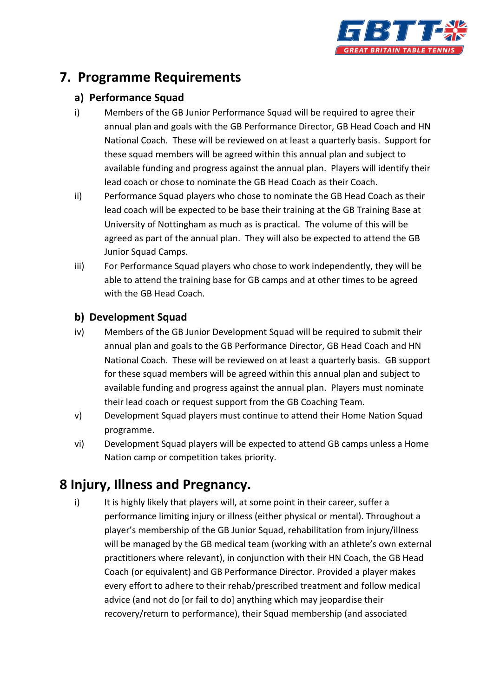

### **7. Programme Requirements**

#### **a) Performance Squad**

- i) Members of the GB Junior Performance Squad will be required to agree their annual plan and goals with the GB Performance Director, GB Head Coach and HN National Coach. These will be reviewed on at least a quarterly basis. Support for these squad members will be agreed within this annual plan and subject to available funding and progress against the annual plan. Players will identify their lead coach or chose to nominate the GB Head Coach as their Coach.
- ii) Performance Squad players who chose to nominate the GB Head Coach as their lead coach will be expected to be base their training at the GB Training Base at University of Nottingham as much as is practical. The volume of this will be agreed as part of the annual plan. They will also be expected to attend the GB Junior Squad Camps.
- iii) For Performance Squad players who chose to work independently, they will be able to attend the training base for GB camps and at other times to be agreed with the GB Head Coach.

#### **b) Development Squad**

- iv) Members of the GB Junior Development Squad will be required to submit their annual plan and goals to the GB Performance Director, GB Head Coach and HN National Coach. These will be reviewed on at least a quarterly basis. GB support for these squad members will be agreed within this annual plan and subject to available funding and progress against the annual plan. Players must nominate their lead coach or request support from the GB Coaching Team.
- v) Development Squad players must continue to attend their Home Nation Squad programme.
- vi) Development Squad players will be expected to attend GB camps unless a Home Nation camp or competition takes priority.

### **8 Injury, Illness and Pregnancy.**

i) It is highly likely that players will, at some point in their career, suffer a performance limiting injury or illness (either physical or mental). Throughout a player's membership of the GB Junior Squad, rehabilitation from injury/illness will be managed by the GB medical team (working with an athlete's own external practitioners where relevant), in conjunction with their HN Coach, the GB Head Coach (or equivalent) and GB Performance Director. Provided a player makes every effort to adhere to their rehab/prescribed treatment and follow medical advice (and not do [or fail to do] anything which may jeopardise their recovery/return to performance), their Squad membership (and associated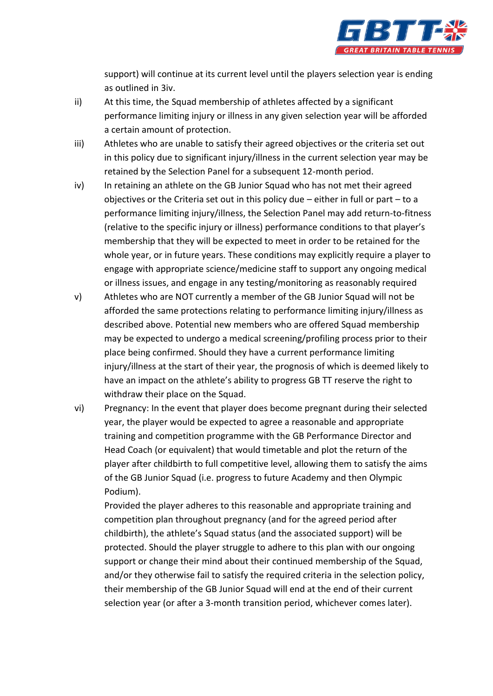

support) will continue at its current level until the players selection year is ending as outlined in 3iv.

- ii) At this time, the Squad membership of athletes affected by a significant performance limiting injury or illness in any given selection year will be afforded a certain amount of protection.
- iii) Athletes who are unable to satisfy their agreed objectives or the criteria set out in this policy due to significant injury/illness in the current selection year may be retained by the Selection Panel for a subsequent 12-month period.
- iv) In retaining an athlete on the GB Junior Squad who has not met their agreed objectives or the Criteria set out in this policy due – either in full or part – to a performance limiting injury/illness, the Selection Panel may add return-to-fitness (relative to the specific injury or illness) performance conditions to that player's membership that they will be expected to meet in order to be retained for the whole year, or in future years. These conditions may explicitly require a player to engage with appropriate science/medicine staff to support any ongoing medical or illness issues, and engage in any testing/monitoring as reasonably required
- v) Athletes who are NOT currently a member of the GB Junior Squad will not be afforded the same protections relating to performance limiting injury/illness as described above. Potential new members who are offered Squad membership may be expected to undergo a medical screening/profiling process prior to their place being confirmed. Should they have a current performance limiting injury/illness at the start of their year, the prognosis of which is deemed likely to have an impact on the athlete's ability to progress GB TT reserve the right to withdraw their place on the Squad.
- vi) Pregnancy: In the event that player does become pregnant during their selected year, the player would be expected to agree a reasonable and appropriate training and competition programme with the GB Performance Director and Head Coach (or equivalent) that would timetable and plot the return of the player after childbirth to full competitive level, allowing them to satisfy the aims of the GB Junior Squad (i.e. progress to future Academy and then Olympic Podium).

Provided the player adheres to this reasonable and appropriate training and competition plan throughout pregnancy (and for the agreed period after childbirth), the athlete's Squad status (and the associated support) will be protected. Should the player struggle to adhere to this plan with our ongoing support or change their mind about their continued membership of the Squad, and/or they otherwise fail to satisfy the required criteria in the selection policy, their membership of the GB Junior Squad will end at the end of their current selection year (or after a 3-month transition period, whichever comes later).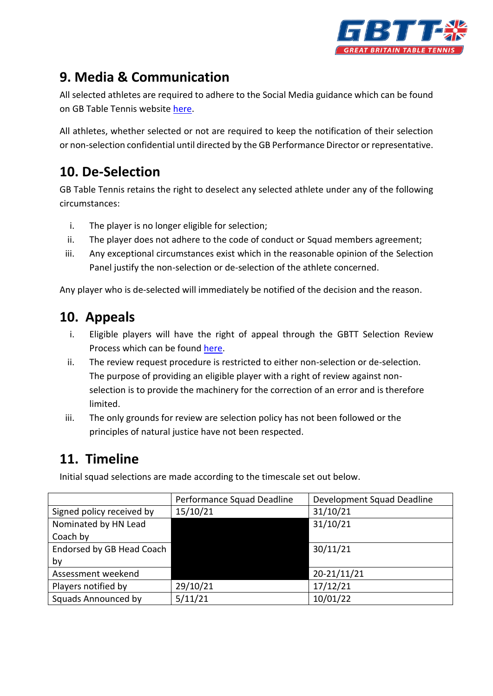

# **9. Media & Communication**

All selected athletes are required to adhere to the Social Media guidance which can be found on GB Table Tennis website [here.](https://tabletennisengland.co.uk/wp-content/uploads/2021/09/GBTT-Social-Media-Guidelines-v1.pdf)

All athletes, whether selected or not are required to keep the notification of their selection or non-selection confidential until directed by the GB Performance Director or representative.

# **10. De-Selection**

GB Table Tennis retains the right to deselect any selected athlete under any of the following circumstances:

- i. The player is no longer eligible for selection;
- ii. The player does not adhere to the code of conduct or Squad members agreement;
- iii. Any exceptional circumstances exist which in the reasonable opinion of the Selection Panel justify the non-selection or de-selection of the athlete concerned.

Any player who is de-selected will immediately be notified of the decision and the reason.

## **10. Appeals**

- i. Eligible players will have the right of appeal through the GBTT Selection Review Process which can be found [here.](https://tabletennisengland.co.uk/wp-content/uploads/2021/09/GBTT-Selection-Review-Policy-1.1.pdf)
- ii. The review request procedure is restricted to either non-selection or de-selection. The purpose of providing an eligible player with a right of review against nonselection is to provide the machinery for the correction of an error and is therefore limited.
- iii. The only grounds for review are selection policy has not been followed or the principles of natural justice have not been respected.

## **11. Timeline**

Initial squad selections are made according to the timescale set out below.

|                            | Performance Squad Deadline | Development Squad Deadline |
|----------------------------|----------------------------|----------------------------|
| Signed policy received by  | 15/10/21                   | 31/10/21                   |
| Nominated by HN Lead       |                            | 31/10/21                   |
| Coach by                   |                            |                            |
| Endorsed by GB Head Coach  |                            | 30/11/21                   |
| by                         |                            |                            |
| Assessment weekend         |                            | 20-21/11/21                |
| Players notified by        | 29/10/21                   | 17/12/21                   |
| <b>Squads Announced by</b> | 5/11/21                    | 10/01/22                   |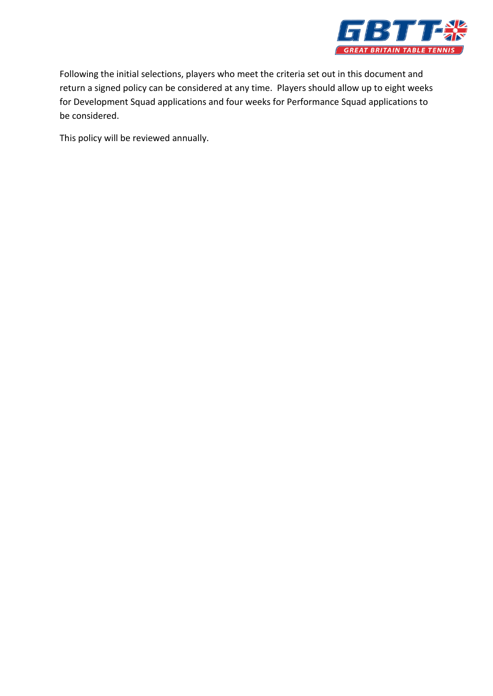

Following the initial selections, players who meet the criteria set out in this document and return a signed policy can be considered at any time. Players should allow up to eight weeks for Development Squad applications and four weeks for Performance Squad applications to be considered.

This policy will be reviewed annually.